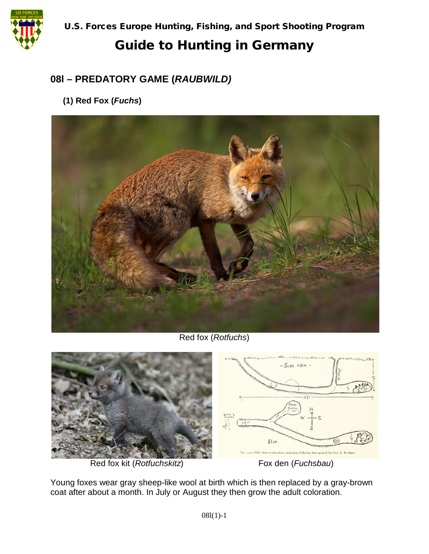

# Guide to Hunting in Germany

### **08l – PREDATORY GAME (***RAUBWILD)*

**(1) Red Fox (***Fuchs***)**



Red fox (*Rotfuchs*)



Young foxes wear gray sheep-like wool at birth which is then replaced by a gray-brown coat after about a month. In July or August they then grow the adult coloration.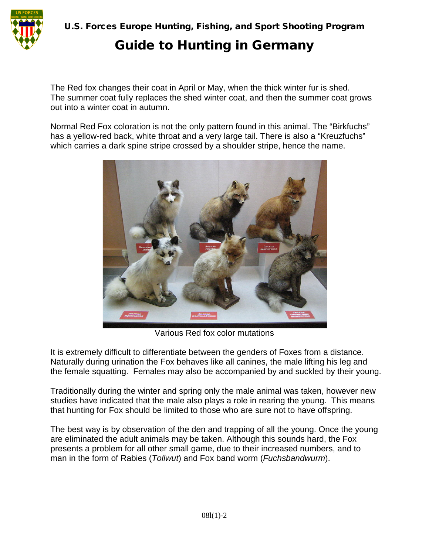

U.S. Forces Europe Hunting, Fishing, and Sport Shooting Program

## Guide to Hunting in Germany

The Red fox changes their coat in April or May, when the thick winter fur is shed. The summer coat fully replaces the shed winter coat, and then the summer coat grows out into a winter coat in autumn.

Normal Red Fox coloration is not the only pattern found in this animal. The "Birkfuchs" has a yellow-red back, white throat and a very large tail. There is also a "Kreuzfuchs" which carries a dark spine stripe crossed by a shoulder stripe, hence the name.



Various Red fox color mutations

It is extremely difficult to differentiate between the genders of Foxes from a distance. Naturally during urination the Fox behaves like all canines, the male lifting his leg and the female squatting. Females may also be accompanied by and suckled by their young.

Traditionally during the winter and spring only the male animal was taken, however new studies have indicated that the male also plays a role in rearing the young. This means that hunting for Fox should be limited to those who are sure not to have offspring.

The best way is by observation of the den and trapping of all the young. Once the young are eliminated the adult animals may be taken. Although this sounds hard, the Fox presents a problem for all other small game, due to their increased numbers, and to man in the form of Rabies (*Tollwut*) and Fox band worm (*Fuchsbandwurm*).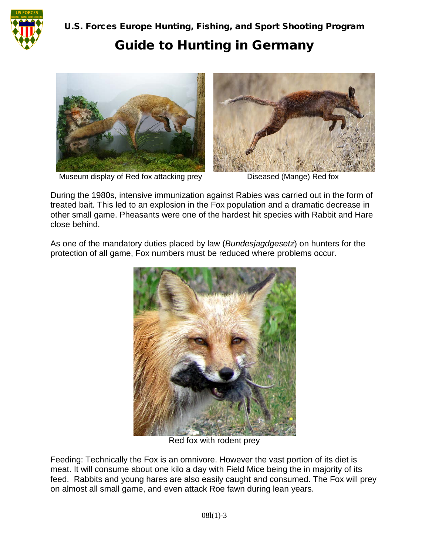

# Guide to Hunting in Germany



Museum display of Red fox attacking prey Diseased (Mange) Red fox



During the 1980s, intensive immunization against Rabies was carried out in the form of treated bait. This led to an explosion in the Fox population and a dramatic decrease in other small game. Pheasants were one of the hardest hit species with Rabbit and Hare close behind.

As one of the mandatory duties placed by law (*Bundesjagdgesetz*) on hunters for the protection of all game, Fox numbers must be reduced where problems occur.



Red fox with rodent prey

Feeding: Technically the Fox is an omnivore. However the vast portion of its diet is meat. It will consume about one kilo a day with Field Mice being the in majority of its feed. Rabbits and young hares are also easily caught and consumed. The Fox will prey on almost all small game, and even attack Roe fawn during lean years.